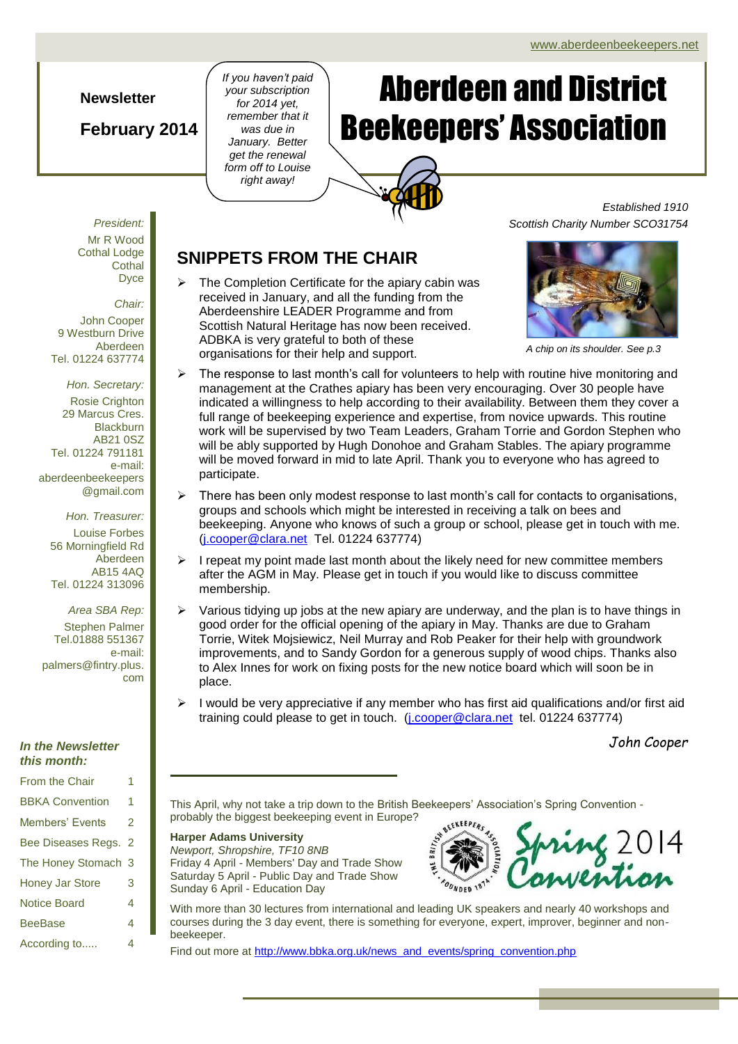### **Newsletter**

## **February 2014**

*If you haven't paid your subscription for 2014 yet, remember that it was due in January. Better get the renewal form off to Louise right away!*

# Page 1 of 4 ADBKA Newsletter 1 of 4 ADBKA Newsletter 1 Aberdeen and District Beekeepers' Association

*Established 1910 Scottish Charity Number SCO31754*



*Chair:*

John Cooper 9 Westburn Drive Aberdeen Tel. 01224 637774

*Hon. Secretary:* Rosie Crighton 29 Marcus Cres. **Blackburn** AB21 0SZ Tel. 01224 791181 e-mail: aberdeenbeekeepers @gmail.com

*Hon. Treasurer:* Louise Forbes 56 Morningfield Rd Aberdeen AB15 4AQ Tel. 01224 313096

*Area SBA Rep:* Stephen Palmer Tel.01888 551367 e-mail: palmers@fintry.plus. com

#### *In the Newsletter this month:*

| <b>From the Chair</b>  | 1 |
|------------------------|---|
| <b>BBKA Convention</b> | 1 |
| Members' Events        | 2 |
| Bee Diseases Regs. 2   |   |
| The Honey Stomach 3    |   |
| <b>Honey Jar Store</b> | 3 |
| <b>Notice Board</b>    | 4 |
| <b>BeeBase</b>         | 4 |
| According to           | 4 |

## **SNIPPETS FROM THE CHAIR**

 The Completion Certificate for the apiary cabin was received in January, and all the funding from the Aberdeenshire LEADER Programme and from Scottish Natural Heritage has now been received. ADBKA is very grateful to both of these organisations for their help and support. *A chip on its shoulder. See p.3*



- The response to last month's call for volunteers to help with routine hive monitoring and management at the Crathes apiary has been very encouraging. Over 30 people have indicated a willingness to help according to their availability. Between them they cover a full range of beekeeping experience and expertise, from novice upwards. This routine work will be supervised by two Team Leaders, Graham Torrie and Gordon Stephen who will be ably supported by Hugh Donohoe and Graham Stables. The apiary programme will be moved forward in mid to late April. Thank you to everyone who has agreed to participate.
- There has been only modest response to last month's call for contacts to organisations, groups and schools which might be interested in receiving a talk on bees and beekeeping. Anyone who knows of such a group or school, please get in touch with me. [\(j.cooper@clara.net](mailto:j.cooper@clara.net) Tel. 01224 637774)
- $\triangleright$  I repeat my point made last month about the likely need for new committee members after the AGM in May. Please get in touch if you would like to discuss committee membership.
- Various tidying up jobs at the new apiary are underway, and the plan is to have things in good order for the official opening of the apiary in May. Thanks are due to Graham Torrie, Witek Mojsiewicz, Neil Murray and Rob Peaker for their help with groundwork improvements, and to Sandy Gordon for a generous supply of wood chips. Thanks also to Alex Innes for work on fixing posts for the new notice board which will soon be in place.
- I would be very appreciative if any member who has first aid qualifications and/or first aid training could please to get in touch. (*j.cooper@clara.net tel. 01224 637774*)

*John Cooper*

This April, why not take a trip down to the British Beekeepers' Association's Spring Convention probably the biggest beekeeping event in Europe?

#### **Harper Adams University** *Newport, Shropshire, TF10 8NB* Friday 4 April - Members' Day and Trade Show Saturday 5 April - Public Day and Trade Show Sunday 6 April - Education Day



With more than 30 lectures from international and leading UK speakers and nearly 40 workshops and courses during the 3 day event, there is something for everyone, expert, improver, beginner and nonbeekeeper.

Find out more at [http://www.bbka.org.uk/news\\_and\\_events/spring\\_convention.php](http://www.bbka.org.uk/news_and_events/spring_convention.php)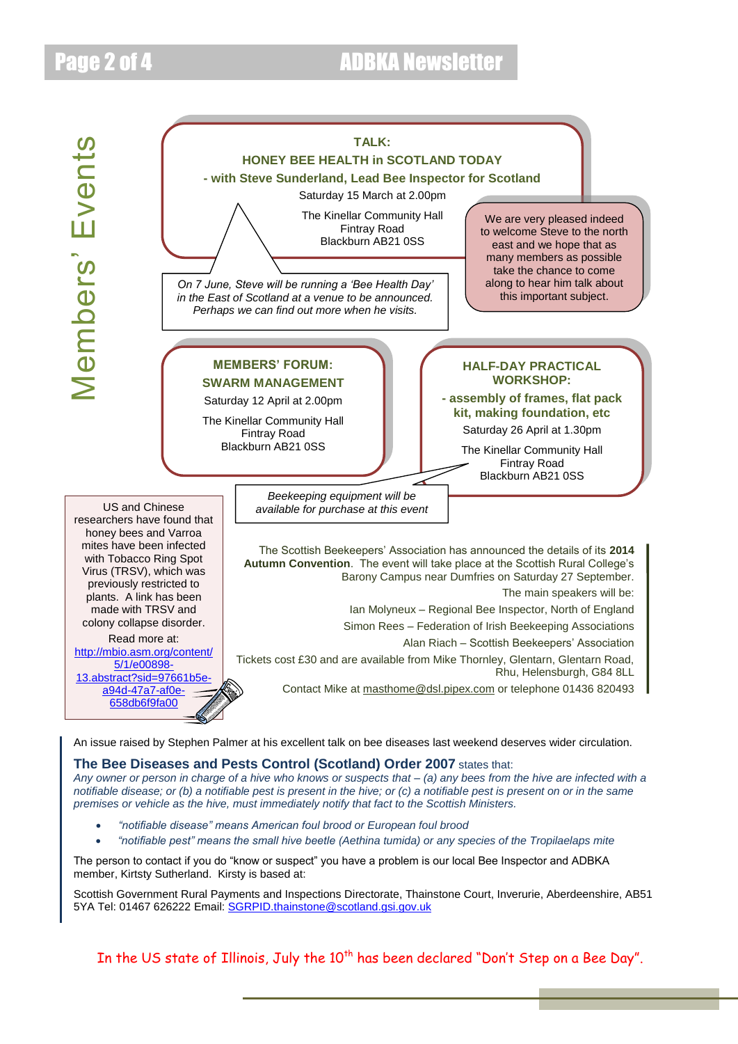# Page 2 of 4 ADBKA Newsletter

Members' Events



*Any owner or person in charge of a hive who knows or suspects that – (a) any bees from the hive are infected with a notifiable disease; or (b) a notifiable pest is present in the hive; or (c) a notifiable pest is present on or in the same premises or vehicle as the hive, must immediately notify that fact to the Scottish Ministers.*

- *"notifiable disease" means American foul brood or European foul brood*
- *"notifiable pest" means the small hive beetle (Aethina tumida) or any species of the Tropilaelaps mite*

The person to contact if you do "know or suspect" you have a problem is our local Bee Inspector and ADBKA member, Kirtsty Sutherland. Kirsty is based at:

Scottish Government Rural Payments and Inspections Directorate, Thainstone Court, Inverurie, Aberdeenshire, AB51 5YA Tel: 01467 626222 Email: [SGRPID.thainstone@scotland.gsi.gov.uk](mailto:SGRPID.Thainstone@scotland.gsi.gov.uk)

In the US state of Illinois, July the 10<sup>th</sup> has been declared "Don't Step on a Bee Day".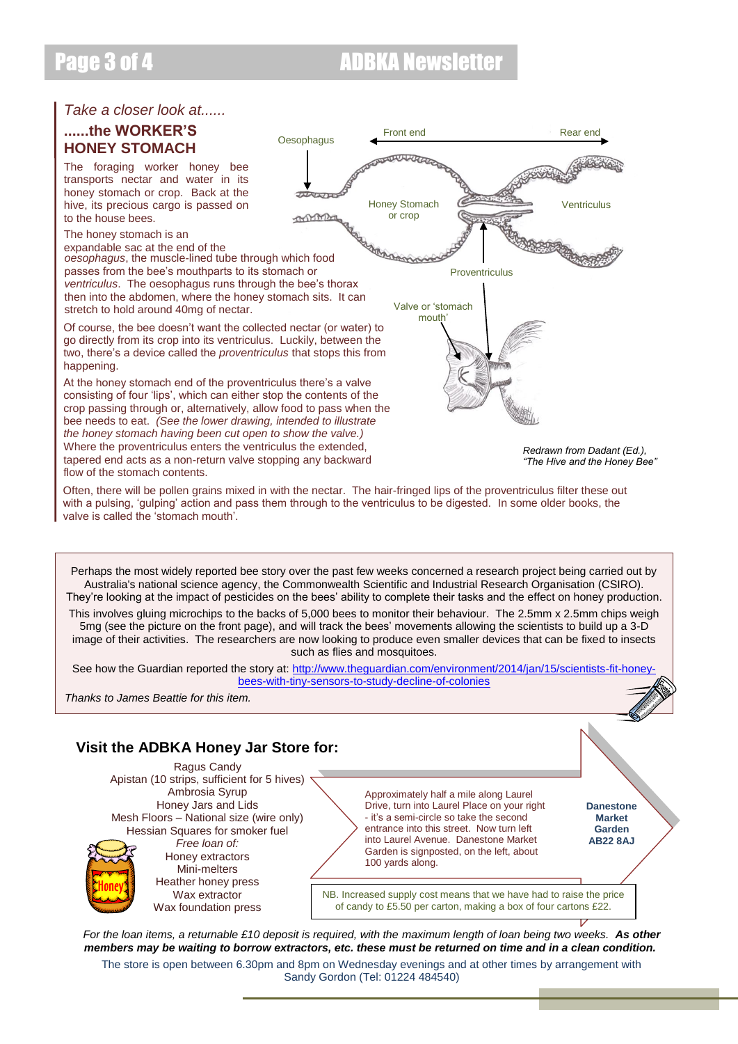## Page 3 of 4 **ADBKA Newsletter**

## *Take a closer look at......*

### **......the WORKER'S HONEY STOMACH**

The foraging worker honey bee transports nectar and water in its honey stomach or crop. Back at the hive, its precious cargo is passed on to the house bees.

The honey stomach is an

expandable sac at the end of the *oesophagus*, the muscle-lined tube through which food passes from the bee's mouthparts to its stomach or *ventriculus*. The oesophagus runs through the bee's thorax then into the abdomen, where the honey stomach sits. It can stretch to hold around 40mg of nectar.

Of course, the bee doesn't want the collected nectar (or water) to go directly from its crop into its ventriculus. Luckily, between the two, there's a device called the *proventriculus* that stops this from happening.

At the honey stomach end of the proventriculus there's a valve consisting of four 'lips', which can either stop the contents of the crop passing through or, alternatively, allow food to pass when the bee needs to eat. *(See the lower drawing, intended to illustrate the honey stomach having been cut open to show the valve.)*  Where the proventriculus enters the ventriculus the extended, tapered end acts as a non-return valve stopping any backward flow of the stomach contents.



*Redrawn from Dadant (Ed.), "The Hive and the Honey Bee"*

Often, there will be pollen grains mixed in with the nectar. The hair-fringed lips of the proventriculus filter these out with a pulsing, 'gulping' action and pass them through to the ventriculus to be digested. In some older books, the valve is called the 'stomach mouth'.

Perhaps the most widely reported bee story over the past few weeks concerned a research project being carried out by Australia's national science agency, the Commonwealth Scientific and Industrial Research Organisation (CSIRO). They're looking at the impact of pesticides on the bees' ability to complete their tasks and the effect on honey production.

This involves gluing microchips to the backs of 5,000 bees to monitor their behaviour. The 2.5mm x 2.5mm chips weigh 5mg (see the picture on the front page), and will track the bees' movements allowing the scientists to build up a 3-D image of their activities. The researchers are now looking to produce even smaller devices that can be fixed to insects such as flies and mosquitoes.

See how the Guardian reported the story at: [http://www.theguardian.com/environment/2014/jan/15/scientists-fit-honey](http://www.theguardian.com/environment/2014/jan/15/scientists-fit-honey-bees-with-tiny-sensors-to-study-decline-of-colonies)[bees-with-tiny-sensors-to-study-decline-of-colonies](http://www.theguardian.com/environment/2014/jan/15/scientists-fit-honey-bees-with-tiny-sensors-to-study-decline-of-colonies)

*Thanks to James Beattie for this item.*

## **Visit the ADBKA Honey Jar Store for:**

Ragus Candy Apistan (10 strips, sufficient for 5 hives) Ambrosia Syrup Honey Jars and Lids Mesh Floors – National size (wire only) Hessian Squares for smoker fuel *Free loan of:* Honey extractors Mini-melters Heather honey press Wax extractor Wax foundation press

Approximately half a mile along Laurel Drive, turn into Laurel Place on your right - it's a semi-circle so take the second entrance into this street. Now turn left into Laurel Avenue. Danestone Market Garden is signposted, on the left, about 100 yards along.

**Danestone Market Garden AB22 8AJ**

NB. Increased supply cost means that we have had to raise the price of candy to £5.50 per carton, making a box of four cartons £22.

*For the loan items, a returnable £10 deposit is required, with the maximum length of loan being two weeks. As other members may be waiting to borrow extractors, etc. these must be returned on time and in a clean condition.*

The store is open between 6.30pm and 8pm on Wednesday evenings and at other times by arrangement with Sandy Gordon (Tel: 01224 484540)